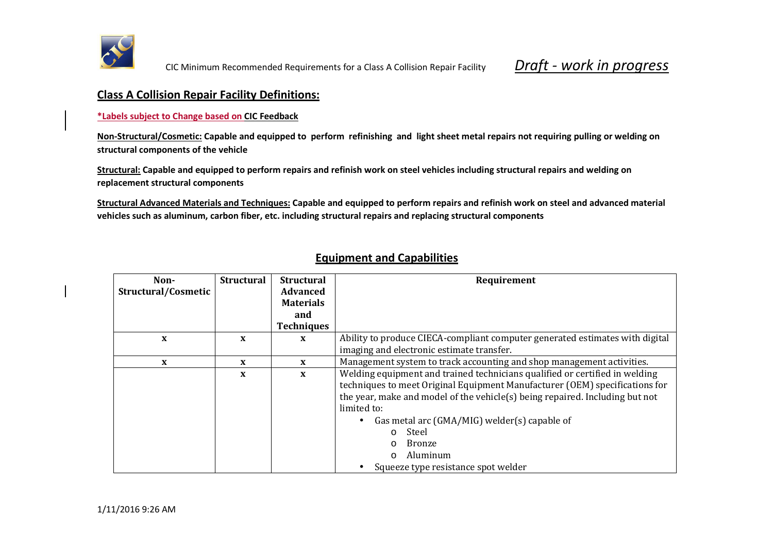

## **Class A Collision Repair Facility Definitions:**

**\*Labels subject to Change based on CIC Feedback**

**Non-Structural/Cosmetic: Capable and equipped to perform refinishing and light sheet metal repairs not requiring pulling or welding on structural components of the vehicle** 

**Structural: Capable and equipped to perform repairs and refinish work on steel vehicles including structural repairs and welding on replacement structural components** 

**Structural Advanced Materials and Techniques: Capable and equipped to perform repairs and refinish work on steel and advanced material vehicles such as aluminum, carbon fiber, etc. including structural repairs and replacing structural components** 

| Non-                | <b>Structural</b> | <b>Structural</b> | Requirement                                                                  |
|---------------------|-------------------|-------------------|------------------------------------------------------------------------------|
| Structural/Cosmetic |                   | <b>Advanced</b>   |                                                                              |
|                     |                   | <b>Materials</b>  |                                                                              |
|                     |                   | and               |                                                                              |
|                     |                   | <b>Techniques</b> |                                                                              |
| X                   | X                 | X                 | Ability to produce CIECA-compliant computer generated estimates with digital |
|                     |                   |                   | imaging and electronic estimate transfer.                                    |
| X                   | X                 | $\mathbf{x}$      | Management system to track accounting and shop management activities.        |
|                     | X                 | X                 | Welding equipment and trained technicians qualified or certified in welding  |
|                     |                   |                   | techniques to meet Original Equipment Manufacturer (OEM) specifications for  |
|                     |                   |                   | the year, make and model of the vehicle(s) being repaired. Including but not |
|                     |                   |                   | limited to:                                                                  |
|                     |                   |                   | Gas metal arc (GMA/MIG) welder(s) capable of                                 |
|                     |                   |                   | Steel<br>$\Omega$                                                            |
|                     |                   |                   | Bronze<br>$\Omega$                                                           |
|                     |                   |                   | Aluminum<br>$\Omega$                                                         |
|                     |                   |                   | Squeeze type resistance spot welder                                          |

## **Equipment and Capabilities**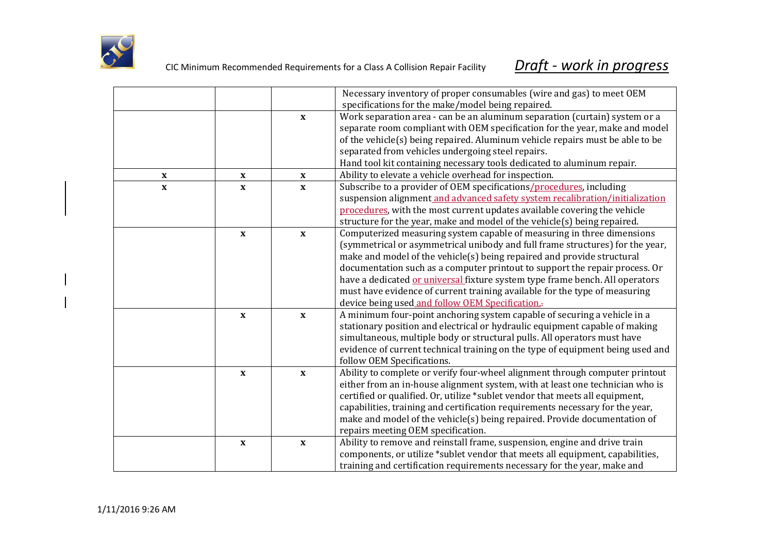

|              |                           |                           | Necessary inventory of proper consumables (wire and gas) to meet OEM           |
|--------------|---------------------------|---------------------------|--------------------------------------------------------------------------------|
|              |                           |                           | specifications for the make/model being repaired.                              |
|              |                           | $\mathbf{x}$              | Work separation area - can be an aluminum separation (curtain) system or a     |
|              |                           |                           | separate room compliant with OEM specification for the year, make and model    |
|              |                           |                           | of the vehicle(s) being repaired. Aluminum vehicle repairs must be able to be  |
|              |                           |                           | separated from vehicles undergoing steel repairs.                              |
|              |                           |                           | Hand tool kit containing necessary tools dedicated to aluminum repair.         |
| $\mathbf X$  | $\mathbf{x}$              | $\mathbf X$               | Ability to elevate a vehicle overhead for inspection.                          |
| $\mathbf{x}$ | $\mathbf{x}$              | $\mathbf{x}$              | Subscribe to a provider of OEM specifications/procedures, including            |
|              |                           |                           | suspension alignment and advanced safety system recalibration/initialization   |
|              |                           |                           | procedures, with the most current updates available covering the vehicle       |
|              |                           |                           | structure for the year, make and model of the vehicle(s) being repaired.       |
|              | $\mathbf{x}$              | $\mathbf{x}$              | Computerized measuring system capable of measuring in three dimensions         |
|              |                           |                           | (symmetrical or asymmetrical unibody and full frame structures) for the year,  |
|              |                           |                           | make and model of the vehicle(s) being repaired and provide structural         |
|              |                           |                           | documentation such as a computer printout to support the repair process. Or    |
|              |                           |                           | have a dedicated or universal fixture system type frame bench. All operators   |
|              |                           |                           | must have evidence of current training available for the type of measuring     |
|              |                           |                           | device being used and follow OEM Specification.                                |
|              | $\mathbf{x}$              | $\mathbf{x}$              | A minimum four-point anchoring system capable of securing a vehicle in a       |
|              |                           |                           | stationary position and electrical or hydraulic equipment capable of making    |
|              |                           |                           | simultaneous, multiple body or structural pulls. All operators must have       |
|              |                           |                           | evidence of current technical training on the type of equipment being used and |
|              |                           |                           | follow OEM Specifications.                                                     |
|              | $\boldsymbol{\mathrm{X}}$ | $\mathbf x$               | Ability to complete or verify four-wheel alignment through computer printout   |
|              |                           |                           | either from an in-house alignment system, with at least one technician who is  |
|              |                           |                           | certified or qualified. Or, utilize *sublet vendor that meets all equipment,   |
|              |                           |                           | capabilities, training and certification requirements necessary for the year,  |
|              |                           |                           | make and model of the vehicle(s) being repaired. Provide documentation of      |
|              |                           |                           | repairs meeting OEM specification.                                             |
|              | $\mathbf X$               | $\boldsymbol{\mathrm{X}}$ | Ability to remove and reinstall frame, suspension, engine and drive train      |
|              |                           |                           | components, or utilize *sublet vendor that meets all equipment, capabilities,  |
|              |                           |                           | training and certification requirements necessary for the year, make and       |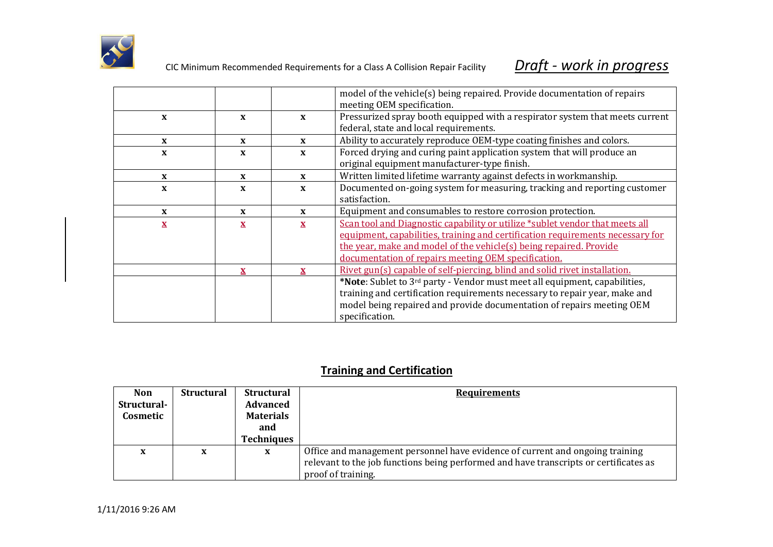

|              |              |              | model of the vehicle(s) being repaired. Provide documentation of repairs<br>meeting OEM specification. |
|--------------|--------------|--------------|--------------------------------------------------------------------------------------------------------|
| X            | X            | X            | Pressurized spray booth equipped with a respirator system that meets current                           |
|              |              |              | federal, state and local requirements.                                                                 |
| X            | $\mathbf{x}$ | $\mathbf{x}$ | Ability to accurately reproduce OEM-type coating finishes and colors.                                  |
| X            | X            | $\mathbf{x}$ | Forced drying and curing paint application system that will produce an                                 |
|              |              |              | original equipment manufacturer-type finish.                                                           |
| $\mathbf{x}$ | X            | X            | Written limited lifetime warranty against defects in workmanship.                                      |
| $\mathbf{x}$ | X            | X            | Documented on-going system for measuring, tracking and reporting customer                              |
|              |              |              | satisfaction.                                                                                          |
| X            | $\mathbf x$  | X            | Equipment and consumables to restore corrosion protection.                                             |
| $\mathbf{x}$ | X            | $\mathbf{x}$ | Scan tool and Diagnostic capability or utilize *sublet vendor that meets all                           |
|              |              |              | equipment, capabilities, training and certification requirements necessary for                         |
|              |              |              | the year, make and model of the vehicle(s) being repaired. Provide                                     |
|              |              |              | documentation of repairs meeting OEM specification.                                                    |
|              | $\mathbf{x}$ | $\mathbf{x}$ | Rivet gun(s) capable of self-piercing, blind and solid rivet installation.                             |
|              |              |              | *Note: Sublet to 3 <sup>rd</sup> party - Vendor must meet all equipment, capabilities,                 |
|              |              |              | training and certification requirements necessary to repair year, make and                             |
|              |              |              | model being repaired and provide documentation of repairs meeting OEM                                  |
|              |              |              | specification.                                                                                         |

## **Training and Certification**

| <b>Non</b><br>Structural-<br>Cosmetic | <b>Structural</b> | <b>Structural</b><br><b>Advanced</b><br><b>Materials</b><br>and<br><b>Techniques</b> | <b>Requirements</b>                                                                                                                                                                          |
|---------------------------------------|-------------------|--------------------------------------------------------------------------------------|----------------------------------------------------------------------------------------------------------------------------------------------------------------------------------------------|
| X                                     | X                 | X                                                                                    | Office and management personnel have evidence of current and ongoing training<br>relevant to the job functions being performed and have transcripts or certificates as<br>proof of training. |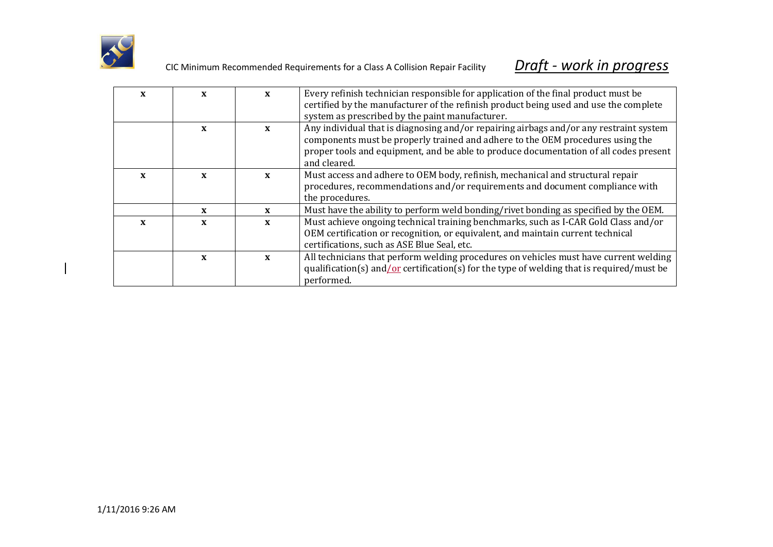

| X | X            | $\mathbf{x}$ | Every refinish technician responsible for application of the final product must be                                                                                                                                    |
|---|--------------|--------------|-----------------------------------------------------------------------------------------------------------------------------------------------------------------------------------------------------------------------|
|   |              |              | certified by the manufacturer of the refinish product being used and use the complete                                                                                                                                 |
|   |              |              | system as prescribed by the paint manufacturer.                                                                                                                                                                       |
|   | $\mathbf{x}$ | $\mathbf{x}$ | Any individual that is diagnosing and/or repairing airbags and/or any restraint system<br>components must be properly trained and adhere to the OEM procedures using the                                              |
|   |              |              | proper tools and equipment, and be able to produce documentation of all codes present<br>and cleared.                                                                                                                 |
| X | X            | $\mathbf{x}$ | Must access and adhere to OEM body, refinish, mechanical and structural repair<br>procedures, recommendations and/or requirements and document compliance with<br>the procedures.                                     |
|   | $\mathbf{x}$ | X            | Must have the ability to perform weld bonding/rivet bonding as specified by the OEM.                                                                                                                                  |
| X | $\mathbf{x}$ | $\mathbf{x}$ | Must achieve ongoing technical training benchmarks, such as I-CAR Gold Class and/or<br>OEM certification or recognition, or equivalent, and maintain current technical<br>certifications, such as ASE Blue Seal, etc. |
|   | $\mathbf{x}$ | $\mathbf{x}$ | All technicians that perform welding procedures on vehicles must have current welding<br>qualification(s) and/or certification(s) for the type of welding that is required/must be<br>performed.                      |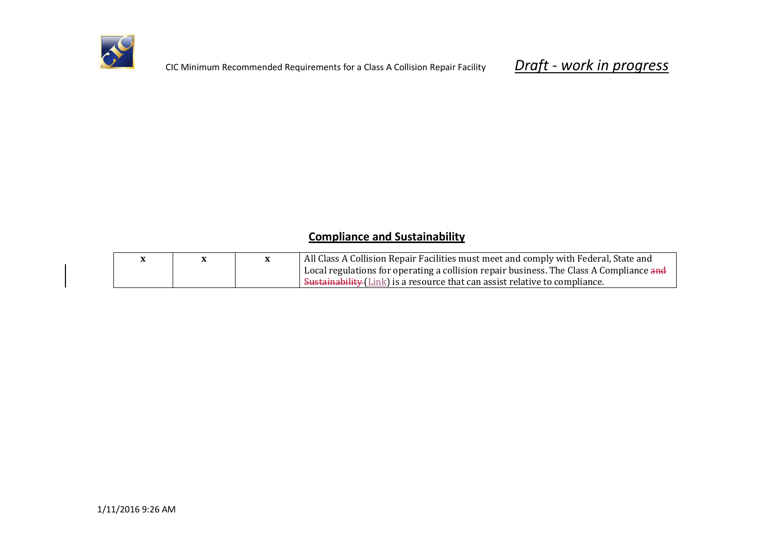

## **Compliance and Sustainability**

|  | All Class A Collision Repair Facilities must meet and comply with Federal, State and    |
|--|-----------------------------------------------------------------------------------------|
|  | Local regulations for operating a collision repair business. The Class A Compliance and |
|  | Sustainability (Link) is a resource that can assist relative to compliance.             |